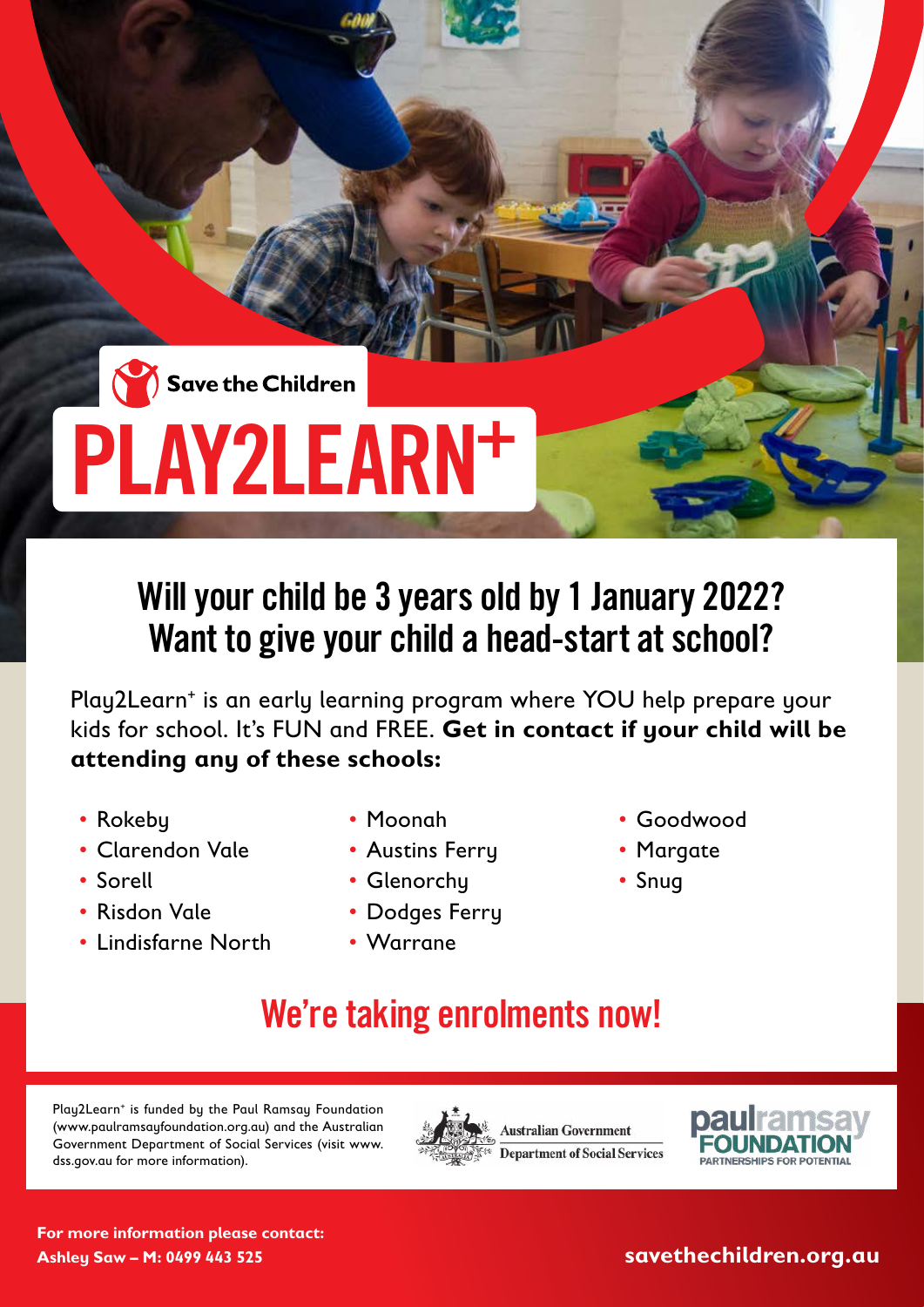## PLAY2LEARN+

## Will your child be 3 years old by 1 January 2022? Want to give your child a head-start at school?

Play2Learn<sup>+</sup> is an early learning program where YOU help prepare your kids for school. It's FUN and FREE. **Get in contact if your child will be attending any of these schools:**

- Rokeby
- Clarendon Vale
- Sorell
- Risdon Vale
- Lindisfarne North
- Moonah
- Austins Ferry
- Glenorchy
- Dodges Ferry
- Warrane
- Goodwood
- Margate
- Snug
- We're taking enrolments now!

Play2Learn<sup>+</sup> is funded by the Paul Ramsay Foundation (www.paulramsayfoundation.org.au) and the Australian Government Department of Social Services (visit www. dss.gov.au for more information).





**For more information please contact: Ashley Saw – M: 0499 443 525**

**savethechildren.org.au**